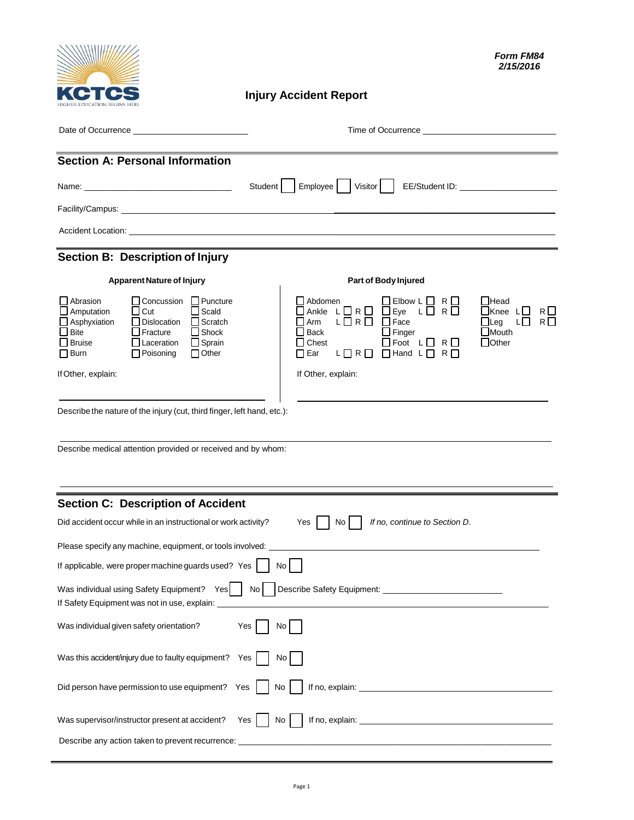

## **Injury Accident Report**

| <b>Section A: Personal Information</b>                                                                                                                                                                                                                                                                                              |                                                                                                                                                                                                                                                                                                                                          |
|-------------------------------------------------------------------------------------------------------------------------------------------------------------------------------------------------------------------------------------------------------------------------------------------------------------------------------------|------------------------------------------------------------------------------------------------------------------------------------------------------------------------------------------------------------------------------------------------------------------------------------------------------------------------------------------|
|                                                                                                                                                                                                                                                                                                                                     | Student    <br>Employee  <br>Visitor                                                                                                                                                                                                                                                                                                     |
|                                                                                                                                                                                                                                                                                                                                     |                                                                                                                                                                                                                                                                                                                                          |
|                                                                                                                                                                                                                                                                                                                                     |                                                                                                                                                                                                                                                                                                                                          |
| Section B: Description of Injury                                                                                                                                                                                                                                                                                                    |                                                                                                                                                                                                                                                                                                                                          |
| <b>Apparent Nature of Injury</b>                                                                                                                                                                                                                                                                                                    | Part of Body Injured                                                                                                                                                                                                                                                                                                                     |
| $\Box$ Concussion $\Box$ Puncture<br>Abrasion<br>$\Box$ Cut<br>$\Box$ Scald<br>$\Box$ Amputation<br>$\Box$ Asphyxiation<br>$\Box$ Dislocation<br>$\Box$ Scratch<br>$\square$ Bite<br>$\Box$ Fracture<br>$\Box$ Shock<br>$\Box$ Sprain<br>$\bigsqcup$ Bruise<br>$\Box$ Laceration<br>$\Box$ Poisoning<br>$\Box$ Other<br>$\Box$ Burn | $\Box$ Elbow L $\Box$ R $\Box$<br>Abdomen<br>∐Head<br>ŌAnkle L□R□ □Eye L□ R□<br>$\Box$ Knee L $\Box$<br>R□<br>$L \square R \square \square$ Face<br><b>■ Arm</b><br>$\Box$ Leg<br>R□<br>LЦ<br>$\square$ Mouth<br>∐ Back<br>$\Box$ Finger<br>$\Box$ Foot $\Box$ R $\Box$<br>$\Box$ Other<br>$\Box$ Chest<br>LORO OHand LORO<br>$\Box$ Ear |
| If Other, explain:                                                                                                                                                                                                                                                                                                                  | If Other, explain:                                                                                                                                                                                                                                                                                                                       |
| Describe the nature of the injury (cut, third finger, left hand, etc.):<br>Describe medical attention provided or received and by whom:                                                                                                                                                                                             |                                                                                                                                                                                                                                                                                                                                          |
| <b>Section C: Description of Accident</b>                                                                                                                                                                                                                                                                                           |                                                                                                                                                                                                                                                                                                                                          |
| Did accident occur while in an instructional or work activity?                                                                                                                                                                                                                                                                      | If no, continue to Section D.<br>Yes<br>No I                                                                                                                                                                                                                                                                                             |
| Please specify any machine, equipment, or tools involved:                                                                                                                                                                                                                                                                           |                                                                                                                                                                                                                                                                                                                                          |
| If applicable, were proper machine guards used? Yes $\vert$                                                                                                                                                                                                                                                                         | No                                                                                                                                                                                                                                                                                                                                       |
| $\overline{\phantom{0}}$<br>Was individual using Safety Equipment? Yes<br>If Safety Equipment was not in use, explain:                                                                                                                                                                                                              |                                                                                                                                                                                                                                                                                                                                          |
| Was individual given safety orientation?                                                                                                                                                                                                                                                                                            | Yes<br>No                                                                                                                                                                                                                                                                                                                                |
| Was this accident/injury due to faulty equipment?                                                                                                                                                                                                                                                                                   | Yes<br>No                                                                                                                                                                                                                                                                                                                                |
| Did person have permission to use equipment? Yes                                                                                                                                                                                                                                                                                    | No                                                                                                                                                                                                                                                                                                                                       |
| Was supervisor/instructor present at accident?                                                                                                                                                                                                                                                                                      | Yes<br>No                                                                                                                                                                                                                                                                                                                                |
| Describe any action taken to prevent recurrence:                                                                                                                                                                                                                                                                                    |                                                                                                                                                                                                                                                                                                                                          |